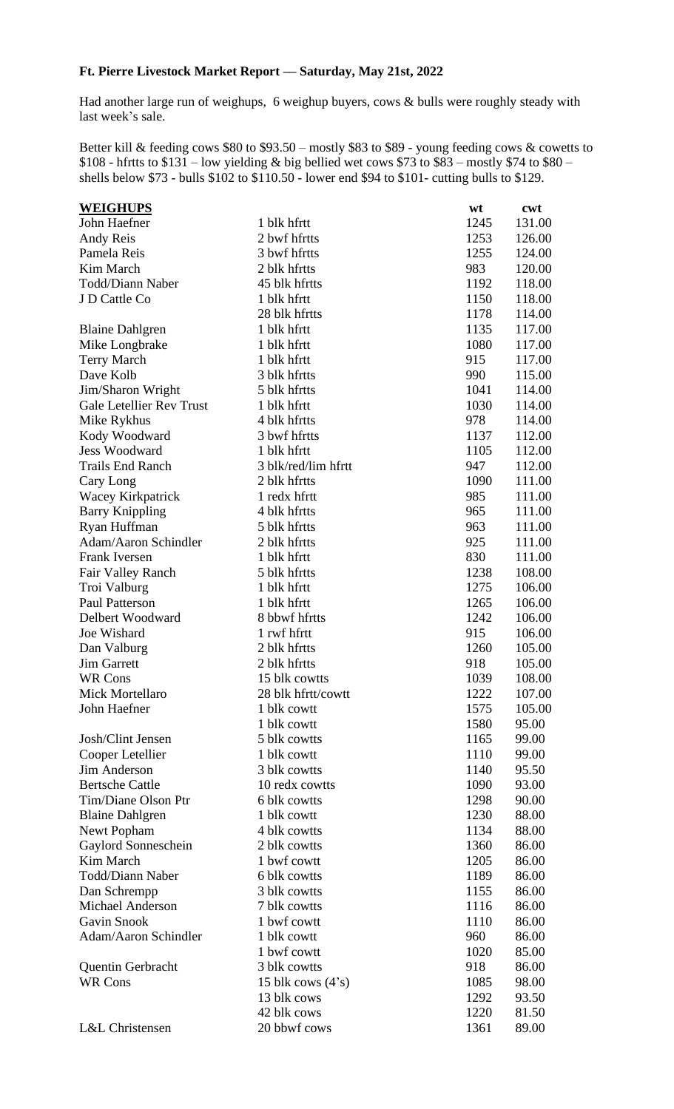## **Ft. Pierre Livestock Market Report –– Saturday, May 21st, 2022**

Had another large run of weighups, 6 weighup buyers, cows & bulls were roughly steady with last week's sale.

Better kill & feeding cows \$80 to \$93.50 – mostly \$83 to \$89 - young feeding cows & cowetts to  $$108$  - hfrtts to  $$131$  – low yielding & big bellied wet cows \$73 to \$83 – mostly \$74 to \$80 – shells below \$73 - bulls \$102 to \$110.50 - lower end \$94 to \$101- cutting bulls to \$129.

| <b>WEIGHUPS</b>                  |                     | wt   | cwt    |
|----------------------------------|---------------------|------|--------|
| John Haefner                     | 1 blk hfrtt         | 1245 | 131.00 |
| Andy Reis                        | 2 bwf hfrtts        | 1253 | 126.00 |
| Pamela Reis                      | 3 bwf hfrtts        | 1255 | 124.00 |
| Kim March                        | 2 blk hfrtts        | 983  | 120.00 |
| Todd/Diann Naber                 | 45 blk hfrtts       | 1192 | 118.00 |
| J D Cattle Co                    | 1 blk hfrtt         | 1150 | 118.00 |
|                                  | 28 blk hfrtts       | 1178 | 114.00 |
| <b>Blaine Dahlgren</b>           | 1 blk hfrtt         | 1135 | 117.00 |
| Mike Longbrake                   | 1 blk hfrtt         | 1080 | 117.00 |
| Terry March                      | 1 blk hfrtt         | 915  | 117.00 |
| Dave Kolb                        | 3 blk hfrtts        | 990  | 115.00 |
| Jim/Sharon Wright                | 5 blk hfrtts        | 1041 | 114.00 |
| <b>Gale Letellier Rev Trust</b>  | 1 blk hfrtt         | 1030 | 114.00 |
| Mike Rykhus                      | 4 blk hfrtts        | 978  | 114.00 |
| Kody Woodward                    | 3 bwf hfrtts        | 1137 | 112.00 |
| <b>Jess Woodward</b>             | 1 blk hfrtt         | 1105 | 112.00 |
| <b>Trails End Ranch</b>          | 3 blk/red/lim hfrtt | 947  | 112.00 |
| Cary Long                        | 2 blk hfrtts        | 1090 | 111.00 |
| Wacey Kirkpatrick                | 1 redx hfrtt        | 985  | 111.00 |
| <b>Barry Knippling</b>           | 4 blk hfrtts        | 965  | 111.00 |
| Ryan Huffman                     | 5 blk hfrtts        | 963  | 111.00 |
| Adam/Aaron Schindler             | 2 blk hfrtts        | 925  | 111.00 |
| Frank Iversen                    | 1 blk hfrtt         | 830  | 111.00 |
| Fair Valley Ranch                | 5 blk hfrtts        | 1238 | 108.00 |
| Troi Valburg                     | 1 blk hfrtt         | 1275 | 106.00 |
| <b>Paul Patterson</b>            | 1 blk hfrtt         | 1265 | 106.00 |
| Delbert Woodward                 | 8 bbwf hfrtts       | 1242 | 106.00 |
| Joe Wishard                      | 1 rwf hfrtt         | 915  | 106.00 |
| Dan Valburg                      | 2 blk hfrtts        | 1260 | 105.00 |
| <b>Jim Garrett</b>               | 2 blk hfrtts        | 918  | 105.00 |
| <b>WR Cons</b>                   | 15 blk cowtts       | 1039 | 108.00 |
| Mick Mortellaro                  | 28 blk hfrtt/cowtt  | 1222 | 107.00 |
| John Haefner                     | 1 blk cowtt         | 1575 | 105.00 |
|                                  | 1 blk cowtt         | 1580 | 95.00  |
| Josh/Clint Jensen                | 5 blk cowtts        | 1165 | 99.00  |
| Cooper Letellier                 | 1 blk cowtt         | 1110 | 99.00  |
| Jim Anderson                     | 3 blk cowtts        | 1140 | 95.50  |
| <b>Bertsche Cattle</b>           | 10 redx cowtts      | 1090 | 93.00  |
| Tim/Diane Olson Ptr              | 6 blk cowtts        | 1298 | 90.00  |
| <b>Blaine Dahlgren</b>           | 1 blk cowtt         | 1230 | 88.00  |
|                                  | 4 blk cowtts        | 1134 | 88.00  |
| Newt Popham                      | 2 blk cowtts        | 1360 | 86.00  |
| Gaylord Sonneschein<br>Kim March | 1 bwf cowtt         | 1205 | 86.00  |
| Todd/Diann Naber                 |                     |      |        |
|                                  | 6 blk cowtts        | 1189 | 86.00  |
| Dan Schrempp                     | 3 blk cowtts        | 1155 | 86.00  |
| Michael Anderson                 | 7 blk cowtts        | 1116 | 86.00  |
| Gavin Snook                      | 1 bwf cowtt         | 1110 | 86.00  |
| Adam/Aaron Schindler             | 1 blk cowtt         | 960  | 86.00  |
|                                  | 1 bwf cowtt         | 1020 | 85.00  |
| <b>Quentin Gerbracht</b>         | 3 blk cowtts        | 918  | 86.00  |
| <b>WR Cons</b>                   | 15 blk cows $(4's)$ | 1085 | 98.00  |
|                                  | 13 blk cows         | 1292 | 93.50  |
|                                  | 42 blk cows         | 1220 | 81.50  |
| L&L Christensen                  | 20 bbwf cows        | 1361 | 89.00  |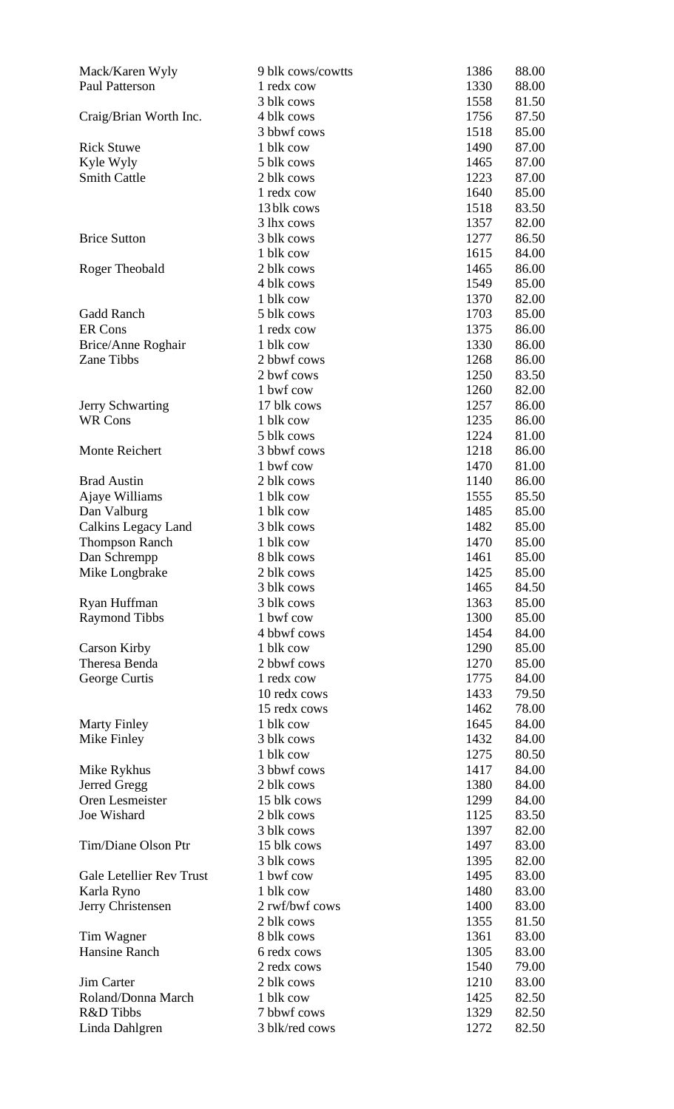| Mack/Karen Wyly                 | 9 blk cows/cowtts | 1386<br>88.00 |
|---------------------------------|-------------------|---------------|
| Paul Patterson                  | 1 redx cow        | 1330<br>88.00 |
|                                 | 3 blk cows        | 1558<br>81.50 |
| Craig/Brian Worth Inc.          | 4 blk cows        | 1756<br>87.50 |
|                                 | 3 bbwf cows       | 1518<br>85.00 |
| <b>Rick Stuwe</b>               | 1 blk cow         | 1490<br>87.00 |
| Kyle Wyly                       | 5 blk cows        | 1465<br>87.00 |
| <b>Smith Cattle</b>             | 2 blk cows        | 1223<br>87.00 |
|                                 | 1 redx cow        | 1640<br>85.00 |
|                                 | 13 blk cows       | 1518<br>83.50 |
|                                 | 3 lhx cows        | 82.00<br>1357 |
| <b>Brice Sutton</b>             | 3 blk cows        | 1277<br>86.50 |
|                                 | 1 blk cow         | 1615<br>84.00 |
| Roger Theobald                  | 2 blk cows        | 86.00<br>1465 |
|                                 | 4 blk cows        | 85.00<br>1549 |
|                                 | 1 blk cow         | 1370<br>82.00 |
| Gadd Ranch                      | 5 blk cows        | 1703<br>85.00 |
| <b>ER Cons</b>                  | 1 redx cow        | 1375<br>86.00 |
| Brice/Anne Roghair              | 1 blk cow         | 86.00<br>1330 |
| Zane Tibbs                      | 2 bbwf cows       | 86.00<br>1268 |
|                                 | 2 bwf cows        | 1250<br>83.50 |
|                                 | 1 bwf cow         | 82.00<br>1260 |
| <b>Jerry Schwarting</b>         | 17 blk cows       | 1257<br>86.00 |
| <b>WR Cons</b>                  | 1 blk cow         | 86.00<br>1235 |
|                                 | 5 blk cows        | 1224<br>81.00 |
| <b>Monte Reichert</b>           | 3 bbwf cows       | 1218<br>86.00 |
|                                 | 1 bwf cow         | 1470<br>81.00 |
| <b>Brad Austin</b>              | 2 blk cows        | 1140<br>86.00 |
| Ajaye Williams                  | 1 blk cow         | 85.50<br>1555 |
| Dan Valburg                     | 1 blk cow         | 1485<br>85.00 |
| Calkins Legacy Land             | 3 blk cows        | 1482<br>85.00 |
| <b>Thompson Ranch</b>           | 1 blk cow         | 1470<br>85.00 |
| Dan Schrempp                    | 8 blk cows        | 85.00<br>1461 |
| Mike Longbrake                  | 2 blk cows        | 85.00<br>1425 |
|                                 | 3 blk cows        | 84.50<br>1465 |
| Ryan Huffman                    | 3 blk cows        | 85.00<br>1363 |
| <b>Raymond Tibbs</b>            | 1 bwf cow         | 1300<br>85.00 |
|                                 | 4 bbwf cows       | 1454<br>84.00 |
| <b>Carson Kirby</b>             | 1 blk cow         | 1290<br>85.00 |
| Theresa Benda                   | 2 bbwf cows       | 85.00<br>1270 |
| George Curtis                   | 1 redx cow        | 84.00<br>1775 |
|                                 | 10 redx cows      | 1433<br>79.50 |
|                                 | 15 redx cows      | 78.00<br>1462 |
| <b>Marty Finley</b>             | 1 blk cow         | 84.00<br>1645 |
| Mike Finley                     | 3 blk cows        | 1432<br>84.00 |
|                                 | 1 blk cow         | 1275<br>80.50 |
| Mike Rykhus                     | 3 bbwf cows       | 84.00<br>1417 |
| Jerred Gregg                    | 2 blk cows        | 84.00<br>1380 |
| Oren Lesmeister                 | 15 blk cows       | 1299<br>84.00 |
| Joe Wishard                     | 2 blk cows        | 83.50<br>1125 |
|                                 | 3 blk cows        | 82.00<br>1397 |
| Tim/Diane Olson Ptr             | 15 blk cows       | 1497<br>83.00 |
|                                 | 3 blk cows        | 1395<br>82.00 |
| <b>Gale Letellier Rev Trust</b> | 1 bwf cow         | 1495<br>83.00 |
| Karla Ryno                      | 1 blk cow         | 1480<br>83.00 |
| Jerry Christensen               | 2 rwf/bwf cows    | 1400<br>83.00 |
|                                 | 2 blk cows        | 1355<br>81.50 |
| Tim Wagner                      | 8 blk cows        | 1361<br>83.00 |
| Hansine Ranch                   | 6 redx cows       | 1305<br>83.00 |
|                                 | 2 redx cows       | 79.00<br>1540 |
| Jim Carter                      | 2 blk cows        | 1210<br>83.00 |
| Roland/Donna March              | 1 blk cow         | 82.50<br>1425 |
| R&D Tibbs                       | 7 bbwf cows       | 1329<br>82.50 |
| Linda Dahlgren                  | 3 blk/red cows    | 82.50<br>1272 |
|                                 |                   |               |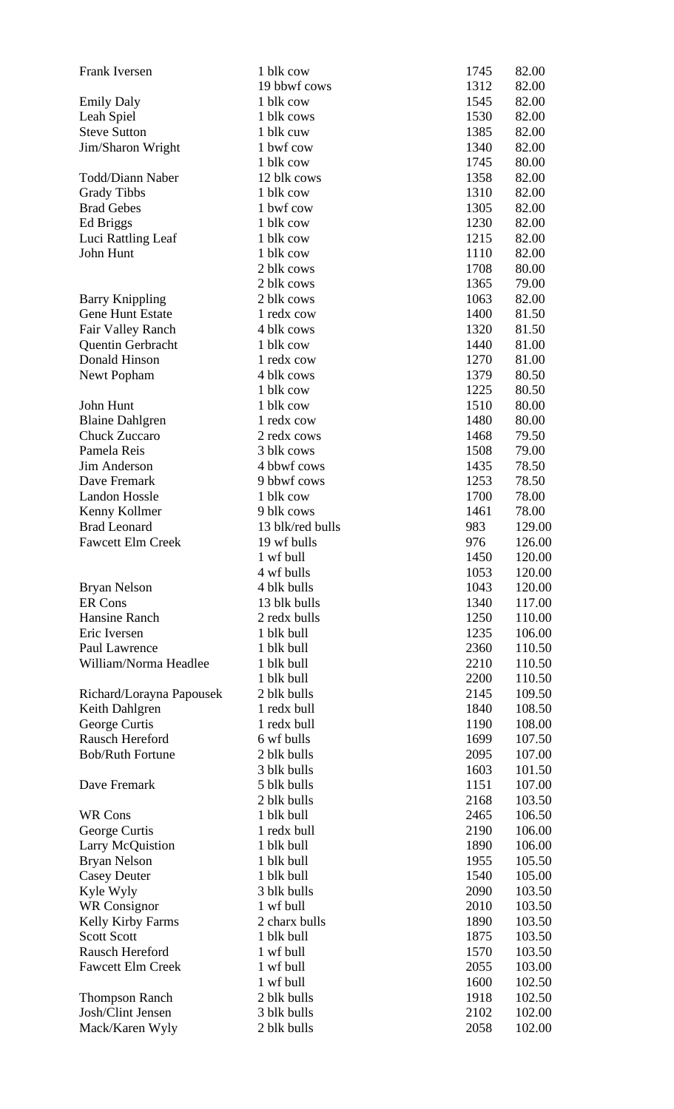| Frank Iversen            | 1 blk cow        | 1745 | 82.00  |
|--------------------------|------------------|------|--------|
|                          | 19 bbwf cows     | 1312 | 82.00  |
| <b>Emily Daly</b>        | 1 blk cow        | 1545 | 82.00  |
| Leah Spiel               | 1 blk cows       | 1530 | 82.00  |
| <b>Steve Sutton</b>      | 1 blk cuw        | 1385 | 82.00  |
| Jim/Sharon Wright        | 1 bwf cow        | 1340 | 82.00  |
|                          | 1 blk cow        | 1745 | 80.00  |
| <b>Todd/Diann Naber</b>  | 12 blk cows      | 1358 | 82.00  |
| <b>Grady Tibbs</b>       | 1 blk cow        | 1310 | 82.00  |
| <b>Brad Gebes</b>        | 1 bwf cow        | 1305 | 82.00  |
| Ed Briggs                | 1 blk cow        | 1230 | 82.00  |
| Luci Rattling Leaf       | 1 blk cow        | 1215 | 82.00  |
| John Hunt                | 1 blk cow        | 1110 | 82.00  |
|                          | 2 blk cows       | 1708 | 80.00  |
|                          | 2 blk cows       | 1365 | 79.00  |
| <b>Barry Knippling</b>   | 2 blk cows       | 1063 | 82.00  |
| <b>Gene Hunt Estate</b>  | 1 redx cow       | 1400 | 81.50  |
| Fair Valley Ranch        | 4 blk cows       | 1320 | 81.50  |
| Quentin Gerbracht        | 1 blk cow        | 1440 | 81.00  |
| Donald Hinson            | 1 redx cow       | 1270 | 81.00  |
| Newt Popham              | 4 blk cows       | 1379 | 80.50  |
|                          | 1 blk cow        | 1225 | 80.50  |
| John Hunt                | 1 blk cow        | 1510 | 80.00  |
| <b>Blaine Dahlgren</b>   | 1 redx cow       | 1480 | 80.00  |
| <b>Chuck Zuccaro</b>     | 2 redx cows      | 1468 | 79.50  |
| Pamela Reis              | 3 blk cows       | 1508 | 79.00  |
| Jim Anderson             | 4 bbwf cows      | 1435 | 78.50  |
| Dave Fremark             | 9 bbwf cows      | 1253 | 78.50  |
| <b>Landon Hossle</b>     | 1 blk cow        | 1700 | 78.00  |
| Kenny Kollmer            | 9 blk cows       | 1461 | 78.00  |
| <b>Brad Leonard</b>      | 13 blk/red bulls | 983  | 129.00 |
| <b>Fawcett Elm Creek</b> | 19 wf bulls      | 976  | 126.00 |
|                          | 1 wf bull        | 1450 | 120.00 |
|                          | 4 wf bulls       | 1053 | 120.00 |
| Bryan Nelson             | 4 blk bulls      | 1043 | 120.00 |
| <b>ER Cons</b>           | 13 blk bulls     | 1340 | 117.00 |
| Hansine Ranch            | 2 redx bulls     | 1250 | 110.00 |
| Eric Iversen             | 1 blk bull       | 1235 | 106.00 |
| Paul Lawrence            | 1 blk bull       | 2360 | 110.50 |
| William/Norma Headlee    | 1 blk bull       | 2210 | 110.50 |
|                          | 1 blk bull       | 2200 | 110.50 |
| Richard/Lorayna Papousek | 2 blk bulls      | 2145 | 109.50 |
| Keith Dahlgren           | 1 redx bull      | 1840 | 108.50 |
| George Curtis            | 1 redx bull      | 1190 | 108.00 |
| Rausch Hereford          | 6 wf bulls       | 1699 | 107.50 |
| <b>Bob/Ruth Fortune</b>  | 2 blk bulls      | 2095 | 107.00 |
|                          | 3 blk bulls      | 1603 | 101.50 |
| Dave Fremark             | 5 blk bulls      | 1151 | 107.00 |
|                          | 2 blk bulls      | 2168 | 103.50 |
| <b>WR Cons</b>           | 1 blk bull       | 2465 | 106.50 |
| George Curtis            | 1 redx bull      | 2190 | 106.00 |
| Larry McQuistion         | 1 blk bull       | 1890 | 106.00 |
| Bryan Nelson             | 1 blk bull       | 1955 | 105.50 |
| <b>Casey Deuter</b>      | 1 blk bull       | 1540 | 105.00 |
| Kyle Wyly                | 3 blk bulls      | 2090 | 103.50 |
| <b>WR</b> Consignor      | 1 wf bull        | 2010 | 103.50 |
| Kelly Kirby Farms        | 2 charx bulls    | 1890 | 103.50 |
| <b>Scott Scott</b>       | 1 blk bull       | 1875 | 103.50 |
| Rausch Hereford          | 1 wf bull        | 1570 | 103.50 |
| <b>Fawcett Elm Creek</b> | 1 wf bull        | 2055 | 103.00 |
|                          | 1 wf bull        | 1600 | 102.50 |
| <b>Thompson Ranch</b>    | 2 blk bulls      | 1918 | 102.50 |
| Josh/Clint Jensen        | 3 blk bulls      | 2102 | 102.00 |
| Mack/Karen Wyly          | 2 blk bulls      | 2058 | 102.00 |